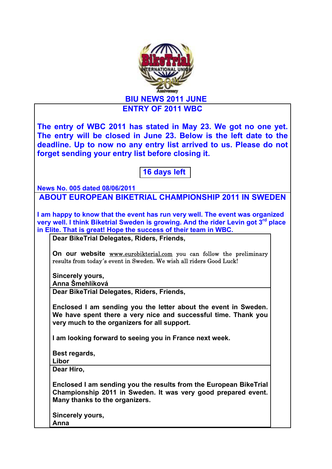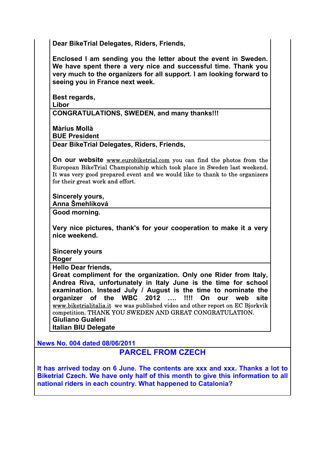**Dear BikeTrial Delegates, Riders, Friends,**

**Enclosed I am sending you the letter about the event in Sweden. We have spent there a very nice and successful time. Thank you very much to the organizers for all support. I am looking forward to seeing you in France next week.**

**Best regards, Libor CONGRATULATIONS, SWEDEN, and many thanks!!!**

**Màrius Mollà BUE President**

**Dear BikeTrial Delegates, Riders, Friends,**

**On our website** www.eurobiketrial.com you can find the photos from the European BikeTrial Championship which took place in Sweden last weekend. It was very good prepared event and we would like to thank to the organizers for their great work and effort.

**Sincerely yours,**

**Anna Šmehlíková**

**Good morning.**

**Very nice pictures, thank's for your cooperation to make it a very nice weekend.**

**Sincerely yours**

**Roger**

**Hello Dear friends,**

**Great compliment for the organization. Only one Rider from Italy, Andrea Riva, unfortunately in Italy June is the time for school examination. Instead July / August is the time to nominate the organizer of the WBC 2012 …. !!!! On our web site**  www.biketrialitalia.it we was published video and other report on EC Bjorkvik competition. THANK YOU SWEDEN AND GREAT CONGRATULATION. **Giuliano Gualeni**

**Italian BIU Delegate**

**News No. 004 dated 08/06/2011**

**PARCEL FROM CZECH**

**It has arrived today on 6 June. The contents are xxx and xxx. Thanks a lot to Biketrial Czech. We have only half of this month to give this information to all national riders in each country. What happened to Catalonia?**